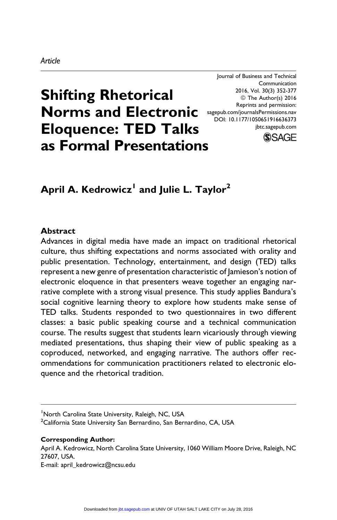#### Article

# Shifting Rhetorical Norms and Electronic Eloquence: TED Talks as Formal Presentations

Journal of Business and Technical Communication 2016, Vol. 30(3) 352-377 © The Author(s) 2016 Reprints and permission: [sagepub.com/journalsPermissions.nav](http://www.sagepub.com/journalsPermissions.nav) DOI: 10.1177/1050651916636373 [jbtc.sagepub.com](http://jbtc.sagepub.com)



# April A. Kedrowicz<sup>1</sup> and Julie L. Taylor<sup>2</sup>

#### Abstract

Advances in digital media have made an impact on traditional rhetorical culture, thus shifting expectations and norms associated with orality and public presentation. Technology, entertainment, and design (TED) talks represent a new genre of presentation characteristic of Jamieson's notion of electronic eloquence in that presenters weave together an engaging narrative complete with a strong visual presence. This study applies Bandura's social cognitive learning theory to explore how students make sense of TED talks. Students responded to two questionnaires in two different classes: a basic public speaking course and a technical communication course. The results suggest that students learn vicariously through viewing mediated presentations, thus shaping their view of public speaking as a coproduced, networked, and engaging narrative. The authors offer recommendations for communication practitioners related to electronic eloquence and the rhetorical tradition.

 $^{2}$ California State University San Bernardino, San Bernardino, CA, USA

#### Corresponding Author:

April A. Kedrowicz, North Carolina State University, 1060 William Moore Drive, Raleigh, NC 27607, USA. E-mail: april\_kedrowicz@ncsu.edu

<sup>&</sup>lt;sup>1</sup>North Carolina State University, Raleigh, NC, USA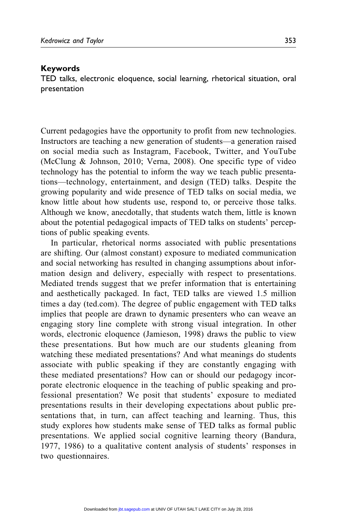#### Keywords

TED talks, electronic eloquence, social learning, rhetorical situation, oral presentation

Current pedagogies have the opportunity to profit from new technologies. Instructors are teaching a new generation of students—a generation raised on social media such as Instagram, Facebook, Twitter, and YouTube (McClung & Johnson, 2010; Verna, 2008). One specific type of video technology has the potential to inform the way we teach public presentations—technology, entertainment, and design (TED) talks. Despite the growing popularity and wide presence of TED talks on social media, we know little about how students use, respond to, or perceive those talks. Although we know, anecdotally, that students watch them, little is known about the potential pedagogical impacts of TED talks on students' perceptions of public speaking events.

In particular, rhetorical norms associated with public presentations are shifting. Our (almost constant) exposure to mediated communication and social networking has resulted in changing assumptions about information design and delivery, especially with respect to presentations. Mediated trends suggest that we prefer information that is entertaining and aesthetically packaged. In fact, TED talks are viewed 1.5 million times a day ([ted.com](http://ted.com)). The degree of public engagement with TED talks implies that people are drawn to dynamic presenters who can weave an engaging story line complete with strong visual integration. In other words, electronic eloquence (Jamieson, 1998) draws the public to view these presentations. But how much are our students gleaning from watching these mediated presentations? And what meanings do students associate with public speaking if they are constantly engaging with these mediated presentations? How can or should our pedagogy incorporate electronic eloquence in the teaching of public speaking and professional presentation? We posit that students' exposure to mediated presentations results in their developing expectations about public presentations that, in turn, can affect teaching and learning. Thus, this study explores how students make sense of TED talks as formal public presentations. We applied social cognitive learning theory (Bandura, 1977, 1986) to a qualitative content analysis of students' responses in two questionnaires.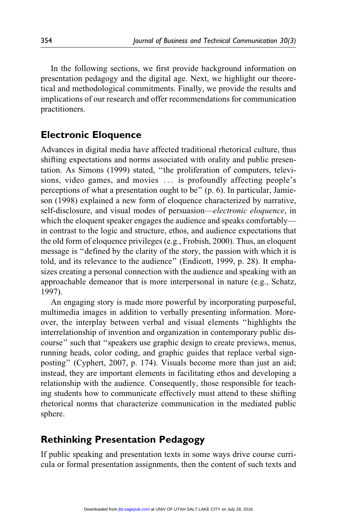In the following sections, we first provide background information on presentation pedagogy and the digital age. Next, we highlight our theoretical and methodological commitments. Finally, we provide the results and implications of our research and offer recommendations for communication practitioners.

## Electronic Eloquence

Advances in digital media have affected traditional rhetorical culture, thus shifting expectations and norms associated with orality and public presentation. As Simons (1999) stated, ''the proliferation of computers, televisions, video games, and movies ... is profoundly affecting people's perceptions of what a presentation ought to be'' (p. 6). In particular, Jamieson (1998) explained a new form of eloquence characterized by narrative, self-disclosure, and visual modes of persuasion—electronic eloquence, in which the eloquent speaker engages the audience and speaks comfortably in contrast to the logic and structure, ethos, and audience expectations that the old form of eloquence privileges (e.g., Frobish, 2000). Thus, an eloquent message is ''defined by the clarity of the story, the passion with which it is told, and its relevance to the audience'' (Endicott, 1999, p. 28). It emphasizes creating a personal connection with the audience and speaking with an approachable demeanor that is more interpersonal in nature (e.g., Schatz, 1997).

An engaging story is made more powerful by incorporating purposeful, multimedia images in addition to verbally presenting information. Moreover, the interplay between verbal and visual elements ''highlights the interrelationship of invention and organization in contemporary public discourse'' such that ''speakers use graphic design to create previews, menus, running heads, color coding, and graphic guides that replace verbal signposting'' (Cyphert, 2007, p. 174). Visuals become more than just an aid; instead, they are important elements in facilitating ethos and developing a relationship with the audience. Consequently, those responsible for teaching students how to communicate effectively must attend to these shifting rhetorical norms that characterize communication in the mediated public sphere.

### Rethinking Presentation Pedagogy

If public speaking and presentation texts in some ways drive course curricula or formal presentation assignments, then the content of such texts and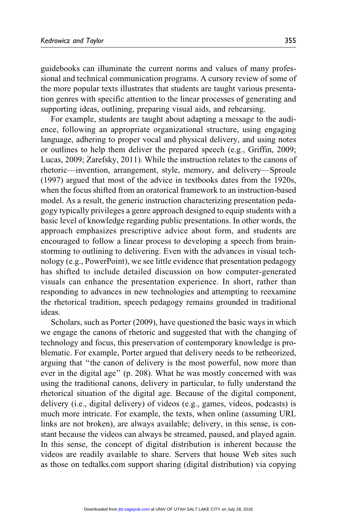guidebooks can illuminate the current norms and values of many professional and technical communication programs. A cursory review of some of the more popular texts illustrates that students are taught various presentation genres with specific attention to the linear processes of generating and supporting ideas, outlining, preparing visual aids, and rehearsing.

For example, students are taught about adapting a message to the audience, following an appropriate organizational structure, using engaging language, adhering to proper vocal and physical delivery, and using notes or outlines to help them deliver the prepared speech (e.g., Griffin, 2009; Lucas, 2009; Zarefsky, 2011). While the instruction relates to the canons of rhetoric—invention, arrangement, style, memory, and delivery—Sproule (1997) argued that most of the advice in textbooks dates from the 1920s, when the focus shifted from an oratorical framework to an instruction-based model. As a result, the generic instruction characterizing presentation pedagogy typically privileges a genre approach designed to equip students with a basic level of knowledge regarding public presentations. In other words, the approach emphasizes prescriptive advice about form, and students are encouraged to follow a linear process to developing a speech from brainstorming to outlining to delivering. Even with the advances in visual technology (e.g., PowerPoint), we see little evidence that presentation pedagogy has shifted to include detailed discussion on how computer-generated visuals can enhance the presentation experience. In short, rather than responding to advances in new technologies and attempting to reexamine the rhetorical tradition, speech pedagogy remains grounded in traditional ideas.

Scholars, such as Porter (2009), have questioned the basic ways in which we engage the canons of rhetoric and suggested that with the changing of technology and focus, this preservation of contemporary knowledge is problematic. For example, Porter argued that delivery needs to be retheorized, arguing that ''the canon of delivery is the most powerful, now more than ever in the digital age'' (p. 208). What he was mostly concerned with was using the traditional canons, delivery in particular, to fully understand the rhetorical situation of the digital age. Because of the digital component, delivery (i.e., digital delivery) of videos (e.g., games, videos, podcasts) is much more intricate. For example, the texts, when online (assuming URL links are not broken), are always available; delivery, in this sense, is constant because the videos can always be streamed, paused, and played again. In this sense, the concept of digital distribution is inherent because the videos are readily available to share. Servers that house Web sites such as those on [tedtalks.com](http://tedtalks.com) support sharing (digital distribution) via copying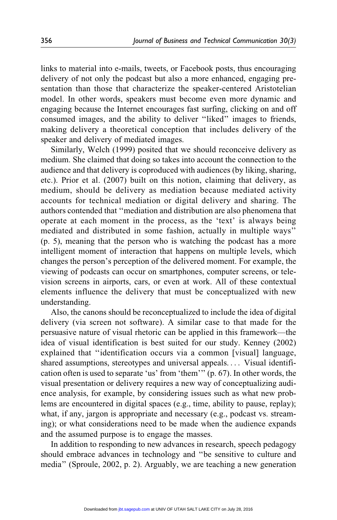links to material into e-mails, tweets, or Facebook posts, thus encouraging delivery of not only the podcast but also a more enhanced, engaging presentation than those that characterize the speaker-centered Aristotelian model. In other words, speakers must become even more dynamic and engaging because the Internet encourages fast surfing, clicking on and off consumed images, and the ability to deliver ''liked'' images to friends, making delivery a theoretical conception that includes delivery of the speaker and delivery of mediated images.

Similarly, Welch (1999) posited that we should reconceive delivery as medium. She claimed that doing so takes into account the connection to the audience and that delivery is coproduced with audiences (by liking, sharing, etc.). Prior et al. (2007) built on this notion, claiming that delivery, as medium, should be delivery as mediation because mediated activity accounts for technical mediation or digital delivery and sharing. The authors contended that ''mediation and distribution are also phenomena that operate at each moment in the process, as the 'text' is always being mediated and distributed in some fashion, actually in multiple ways'' (p. 5), meaning that the person who is watching the podcast has a more intelligent moment of interaction that happens on multiple levels, which changes the person's perception of the delivered moment. For example, the viewing of podcasts can occur on smartphones, computer screens, or television screens in airports, cars, or even at work. All of these contextual elements influence the delivery that must be conceptualized with new understanding.

Also, the canons should be reconceptualized to include the idea of digital delivery (via screen not software). A similar case to that made for the persuasive nature of visual rhetoric can be applied in this framework—the idea of visual identification is best suited for our study. Kenney (2002) explained that ''identification occurs via a common [visual] language, shared assumptions, stereotypes and universal appeals. ... Visual identification often is used to separate 'us' from 'them''' (p. 67). In other words, the visual presentation or delivery requires a new way of conceptualizing audience analysis, for example, by considering issues such as what new problems are encountered in digital spaces (e.g., time, ability to pause, replay); what, if any, jargon is appropriate and necessary (e.g., podcast vs. streaming); or what considerations need to be made when the audience expands and the assumed purpose is to engage the masses.

In addition to responding to new advances in research, speech pedagogy should embrace advances in technology and ''be sensitive to culture and media'' (Sproule, 2002, p. 2). Arguably, we are teaching a new generation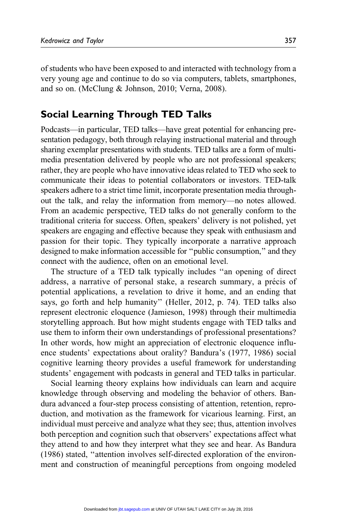of students who have been exposed to and interacted with technology from a very young age and continue to do so via computers, tablets, smartphones, and so on. (McClung & Johnson, 2010; Verna, 2008).

### Social Learning Through TED Talks

Podcasts—in particular, TED talks—have great potential for enhancing presentation pedagogy, both through relaying instructional material and through sharing exemplar presentations with students. TED talks are a form of multimedia presentation delivered by people who are not professional speakers; rather, they are people who have innovative ideas related to TED who seek to communicate their ideas to potential collaborators or investors. TED-talk speakers adhere to a strict time limit, incorporate presentation media throughout the talk, and relay the information from memory—no notes allowed. From an academic perspective, TED talks do not generally conform to the traditional criteria for success. Often, speakers' delivery is not polished, yet speakers are engaging and effective because they speak with enthusiasm and passion for their topic. They typically incorporate a narrative approach designed to make information accessible for ''public consumption,'' and they connect with the audience, often on an emotional level.

The structure of a TED talk typically includes ''an opening of direct address, a narrative of personal stake, a research summary, a précis of potential applications, a revelation to drive it home, and an ending that says, go forth and help humanity'' (Heller, 2012, p. 74). TED talks also represent electronic eloquence (Jamieson, 1998) through their multimedia storytelling approach. But how might students engage with TED talks and use them to inform their own understandings of professional presentations? In other words, how might an appreciation of electronic eloquence influence students' expectations about orality? Bandura's (1977, 1986) social cognitive learning theory provides a useful framework for understanding students' engagement with podcasts in general and TED talks in particular.

Social learning theory explains how individuals can learn and acquire knowledge through observing and modeling the behavior of others. Bandura advanced a four-step process consisting of attention, retention, reproduction, and motivation as the framework for vicarious learning. First, an individual must perceive and analyze what they see; thus, attention involves both perception and cognition such that observers' expectations affect what they attend to and how they interpret what they see and hear. As Bandura (1986) stated, ''attention involves self-directed exploration of the environment and construction of meaningful perceptions from ongoing modeled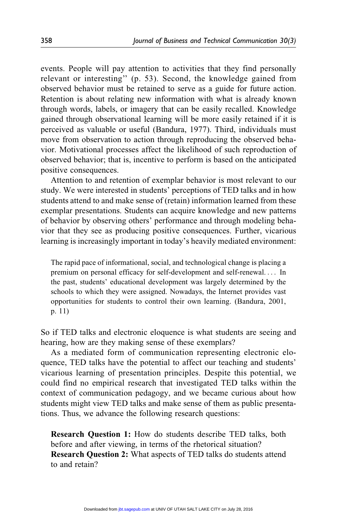events. People will pay attention to activities that they find personally relevant or interesting'' (p. 53). Second, the knowledge gained from observed behavior must be retained to serve as a guide for future action. Retention is about relating new information with what is already known through words, labels, or imagery that can be easily recalled. Knowledge gained through observational learning will be more easily retained if it is perceived as valuable or useful (Bandura, 1977). Third, individuals must move from observation to action through reproducing the observed behavior. Motivational processes affect the likelihood of such reproduction of observed behavior; that is, incentive to perform is based on the anticipated positive consequences.

Attention to and retention of exemplar behavior is most relevant to our study. We were interested in students' perceptions of TED talks and in how students attend to and make sense of (retain) information learned from these exemplar presentations. Students can acquire knowledge and new patterns of behavior by observing others' performance and through modeling behavior that they see as producing positive consequences. Further, vicarious learning is increasingly important in today's heavily mediated environment:

The rapid pace of informational, social, and technological change is placing a premium on personal efficacy for self-development and self-renewal. ... In the past, students' educational development was largely determined by the schools to which they were assigned. Nowadays, the Internet provides vast opportunities for students to control their own learning. (Bandura, 2001, p. 11)

So if TED talks and electronic eloquence is what students are seeing and hearing, how are they making sense of these exemplars?

As a mediated form of communication representing electronic eloquence, TED talks have the potential to affect our teaching and students' vicarious learning of presentation principles. Despite this potential, we could find no empirical research that investigated TED talks within the context of communication pedagogy, and we became curious about how students might view TED talks and make sense of them as public presentations. Thus, we advance the following research questions:

Research Question 1: How do students describe TED talks, both before and after viewing, in terms of the rhetorical situation? Research Question 2: What aspects of TED talks do students attend to and retain?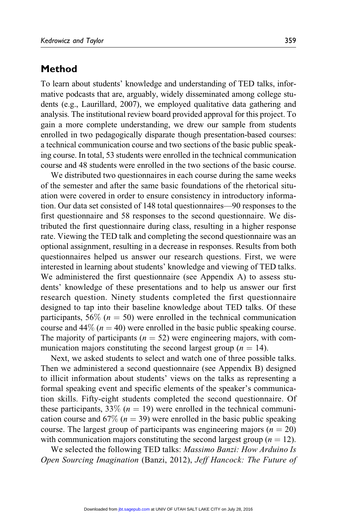### Method

To learn about students' knowledge and understanding of TED talks, informative podcasts that are, arguably, widely disseminated among college students (e.g., Laurillard, 2007), we employed qualitative data gathering and analysis. The institutional review board provided approval for this project. To gain a more complete understanding, we drew our sample from students enrolled in two pedagogically disparate though presentation-based courses: a technical communication course and two sections of the basic public speaking course. In total, 53 students were enrolled in the technical communication course and 48 students were enrolled in the two sections of the basic course.

We distributed two questionnaires in each course during the same weeks of the semester and after the same basic foundations of the rhetorical situation were covered in order to ensure consistency in introductory information. Our data set consisted of 148 total questionnaires—90 responses to the first questionnaire and 58 responses to the second questionnaire. We distributed the first questionnaire during class, resulting in a higher response rate. Viewing the TED talk and completing the second questionnaire was an optional assignment, resulting in a decrease in responses. Results from both questionnaires helped us answer our research questions. First, we were interested in learning about students' knowledge and viewing of TED talks. We administered the first questionnaire (see Appendix A) to assess students' knowledge of these presentations and to help us answer our first research question. Ninety students completed the first questionnaire designed to tap into their baseline knowledge about TED talks. Of these participants, 56% ( $n = 50$ ) were enrolled in the technical communication course and 44% ( $n = 40$ ) were enrolled in the basic public speaking course. The majority of participants ( $n = 52$ ) were engineering majors, with communication majors constituting the second largest group ( $n = 14$ ).

Next, we asked students to select and watch one of three possible talks. Then we administered a second questionnaire (see Appendix B) designed to illicit information about students' views on the talks as representing a formal speaking event and specific elements of the speaker's communication skills. Fifty-eight students completed the second questionnaire. Of these participants, 33% ( $n = 19$ ) were enrolled in the technical communication course and 67% ( $n = 39$ ) were enrolled in the basic public speaking course. The largest group of participants was engineering majors ( $n = 20$ ) with communication majors constituting the second largest group ( $n = 12$ ).

We selected the following TED talks: Massimo Banzi: How Arduino Is Open Sourcing Imagination (Banzi, 2012), Jeff Hancock: The Future of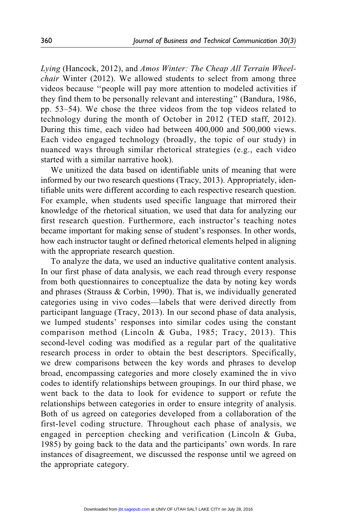Lying (Hancock, 2012), and Amos Winter: The Cheap All Terrain Wheelchair Winter (2012). We allowed students to select from among three videos because ''people will pay more attention to modeled activities if they find them to be personally relevant and interesting'' (Bandura, 1986, pp. 53–54). We chose the three videos from the top videos related to technology during the month of October in 2012 (TED staff, 2012). During this time, each video had between 400,000 and 500,000 views. Each video engaged technology (broadly, the topic of our study) in nuanced ways through similar rhetorical strategies (e.g., each video started with a similar narrative hook).

We unitized the data based on identifiable units of meaning that were informed by our two research questions (Tracy, 2013). Appropriately, identifiable units were different according to each respective research question. For example, when students used specific language that mirrored their knowledge of the rhetorical situation, we used that data for analyzing our first research question. Furthermore, each instructor's teaching notes became important for making sense of student's responses. In other words, how each instructor taught or defined rhetorical elements helped in aligning with the appropriate research question.

To analyze the data, we used an inductive qualitative content analysis. In our first phase of data analysis, we each read through every response from both questionnaires to conceptualize the data by noting key words and phrases (Strauss & Corbin, 1990). That is, we individually generated categories using in vivo codes—labels that were derived directly from participant language (Tracy, 2013). In our second phase of data analysis, we lumped students' responses into similar codes using the constant comparison method (Lincoln & Guba, 1985; Tracy, 2013). This second-level coding was modified as a regular part of the qualitative research process in order to obtain the best descriptors. Specifically, we drew comparisons between the key words and phrases to develop broad, encompassing categories and more closely examined the in vivo codes to identify relationships between groupings. In our third phase, we went back to the data to look for evidence to support or refute the relationships between categories in order to ensure integrity of analysis. Both of us agreed on categories developed from a collaboration of the first-level coding structure. Throughout each phase of analysis, we engaged in perception checking and verification (Lincoln & Guba, 1985) by going back to the data and the participants' own words. In rare instances of disagreement, we discussed the response until we agreed on the appropriate category.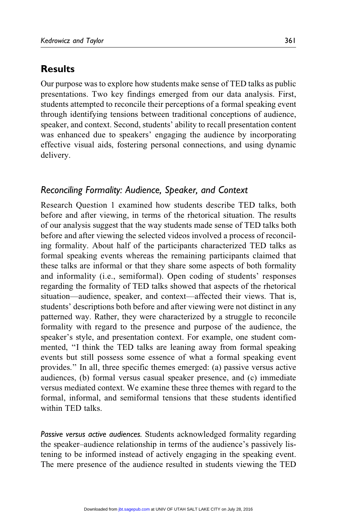# Results

Our purpose was to explore how students make sense of TED talks as public presentations. Two key findings emerged from our data analysis. First, students attempted to reconcile their perceptions of a formal speaking event through identifying tensions between traditional conceptions of audience, speaker, and context. Second, students' ability to recall presentation content was enhanced due to speakers' engaging the audience by incorporating effective visual aids, fostering personal connections, and using dynamic delivery.

### Reconciling Formality: Audience, Speaker, and Context

Research Question 1 examined how students describe TED talks, both before and after viewing, in terms of the rhetorical situation. The results of our analysis suggest that the way students made sense of TED talks both before and after viewing the selected videos involved a process of reconciling formality. About half of the participants characterized TED talks as formal speaking events whereas the remaining participants claimed that these talks are informal or that they share some aspects of both formality and informality (i.e., semiformal). Open coding of students' responses regarding the formality of TED talks showed that aspects of the rhetorical situation—audience, speaker, and context—affected their views. That is, students' descriptions both before and after viewing were not distinct in any patterned way. Rather, they were characterized by a struggle to reconcile formality with regard to the presence and purpose of the audience, the speaker's style, and presentation context. For example, one student commented, ''I think the TED talks are leaning away from formal speaking events but still possess some essence of what a formal speaking event provides.'' In all, three specific themes emerged: (a) passive versus active audiences, (b) formal versus casual speaker presence, and (c) immediate versus mediated context. We examine these three themes with regard to the formal, informal, and semiformal tensions that these students identified within TED talks.

Passive versus active audiences. Students acknowledged formality regarding the speaker–audience relationship in terms of the audience's passively listening to be informed instead of actively engaging in the speaking event. The mere presence of the audience resulted in students viewing the TED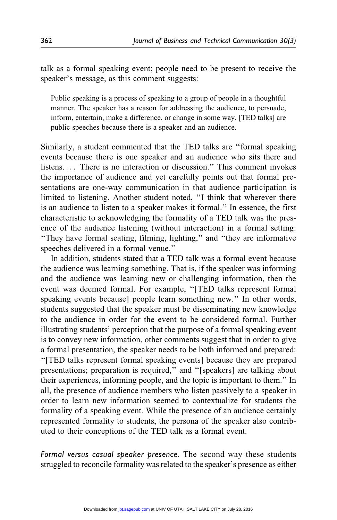talk as a formal speaking event; people need to be present to receive the speaker's message, as this comment suggests:

Public speaking is a process of speaking to a group of people in a thoughtful manner. The speaker has a reason for addressing the audience, to persuade, inform, entertain, make a difference, or change in some way. [TED talks] are public speeches because there is a speaker and an audience.

Similarly, a student commented that the TED talks are ''formal speaking events because there is one speaker and an audience who sits there and listens. ... There is no interaction or discussion.'' This comment invokes the importance of audience and yet carefully points out that formal presentations are one-way communication in that audience participation is limited to listening. Another student noted, ''I think that wherever there is an audience to listen to a speaker makes it formal.'' In essence, the first characteristic to acknowledging the formality of a TED talk was the presence of the audience listening (without interaction) in a formal setting: ''They have formal seating, filming, lighting,'' and ''they are informative speeches delivered in a formal venue.''

In addition, students stated that a TED talk was a formal event because the audience was learning something. That is, if the speaker was informing and the audience was learning new or challenging information, then the event was deemed formal. For example, ''[TED talks represent formal speaking events because] people learn something new.'' In other words, students suggested that the speaker must be disseminating new knowledge to the audience in order for the event to be considered formal. Further illustrating students' perception that the purpose of a formal speaking event is to convey new information, other comments suggest that in order to give a formal presentation, the speaker needs to be both informed and prepared: ''[TED talks represent formal speaking events] because they are prepared presentations; preparation is required," and "[speakers] are talking about their experiences, informing people, and the topic is important to them.'' In all, the presence of audience members who listen passively to a speaker in order to learn new information seemed to contextualize for students the formality of a speaking event. While the presence of an audience certainly represented formality to students, the persona of the speaker also contributed to their conceptions of the TED talk as a formal event.

Formal versus casual speaker presence. The second way these students struggled to reconcile formality was related to the speaker's presence as either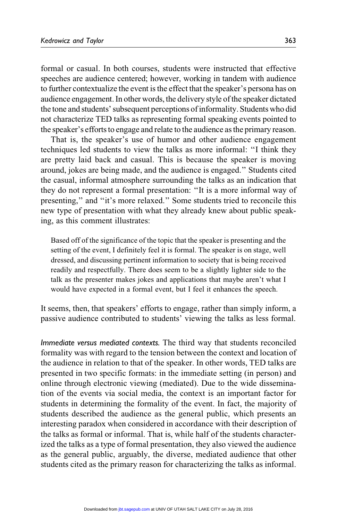formal or casual. In both courses, students were instructed that effective speeches are audience centered; however, working in tandem with audience to further contextualize the event is the effect that the speaker's persona has on audience engagement. In other words, the delivery style of the speaker dictated the tone and students' subsequent perceptions of informality. Students who did not characterize TED talks as representing formal speaking events pointed to the speaker's efforts to engage and relate to the audience as the primary reason.

That is, the speaker's use of humor and other audience engagement techniques led students to view the talks as more informal: ''I think they are pretty laid back and casual. This is because the speaker is moving around, jokes are being made, and the audience is engaged.'' Students cited the casual, informal atmosphere surrounding the talks as an indication that they do not represent a formal presentation: ''It is a more informal way of presenting,'' and ''it's more relaxed.'' Some students tried to reconcile this new type of presentation with what they already knew about public speaking, as this comment illustrates:

Based off of the significance of the topic that the speaker is presenting and the setting of the event, I definitely feel it is formal. The speaker is on stage, well dressed, and discussing pertinent information to society that is being received readily and respectfully. There does seem to be a slightly lighter side to the talk as the presenter makes jokes and applications that maybe aren't what I would have expected in a formal event, but I feel it enhances the speech.

It seems, then, that speakers' efforts to engage, rather than simply inform, a passive audience contributed to students' viewing the talks as less formal.

Immediate versus mediated contexts. The third way that students reconciled formality was with regard to the tension between the context and location of the audience in relation to that of the speaker. In other words, TED talks are presented in two specific formats: in the immediate setting (in person) and online through electronic viewing (mediated). Due to the wide dissemination of the events via social media, the context is an important factor for students in determining the formality of the event. In fact, the majority of students described the audience as the general public, which presents an interesting paradox when considered in accordance with their description of the talks as formal or informal. That is, while half of the students characterized the talks as a type of formal presentation, they also viewed the audience as the general public, arguably, the diverse, mediated audience that other students cited as the primary reason for characterizing the talks as informal.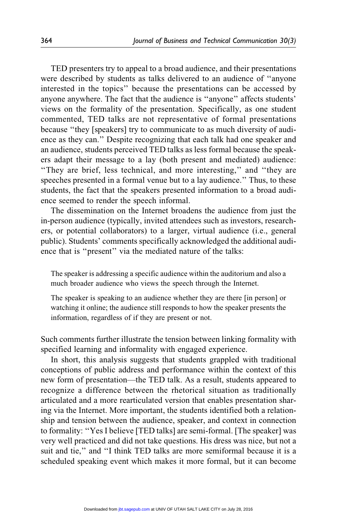TED presenters try to appeal to a broad audience, and their presentations were described by students as talks delivered to an audience of ''anyone interested in the topics'' because the presentations can be accessed by anyone anywhere. The fact that the audience is ''anyone'' affects students' views on the formality of the presentation. Specifically, as one student commented, TED talks are not representative of formal presentations because ''they [speakers] try to communicate to as much diversity of audience as they can.'' Despite recognizing that each talk had one speaker and an audience, students perceived TED talks as less formal because the speakers adapt their message to a lay (both present and mediated) audience: ''They are brief, less technical, and more interesting,'' and ''they are speeches presented in a formal venue but to a lay audience.'' Thus, to these students, the fact that the speakers presented information to a broad audience seemed to render the speech informal.

The dissemination on the Internet broadens the audience from just the in-person audience (typically, invited attendees such as investors, researchers, or potential collaborators) to a larger, virtual audience (i.e., general public). Students' comments specifically acknowledged the additional audience that is ''present'' via the mediated nature of the talks:

The speaker is addressing a specific audience within the auditorium and also a much broader audience who views the speech through the Internet.

The speaker is speaking to an audience whether they are there [in person] or watching it online; the audience still responds to how the speaker presents the information, regardless of if they are present or not.

Such comments further illustrate the tension between linking formality with specified learning and informality with engaged experience.

In short, this analysis suggests that students grappled with traditional conceptions of public address and performance within the context of this new form of presentation—the TED talk. As a result, students appeared to recognize a difference between the rhetorical situation as traditionally articulated and a more rearticulated version that enables presentation sharing via the Internet. More important, the students identified both a relationship and tension between the audience, speaker, and context in connection to formality: ''Yes I believe [TED talks] are semi-formal. [The speaker] was very well practiced and did not take questions. His dress was nice, but not a suit and tie," and "I think TED talks are more semiformal because it is a scheduled speaking event which makes it more formal, but it can become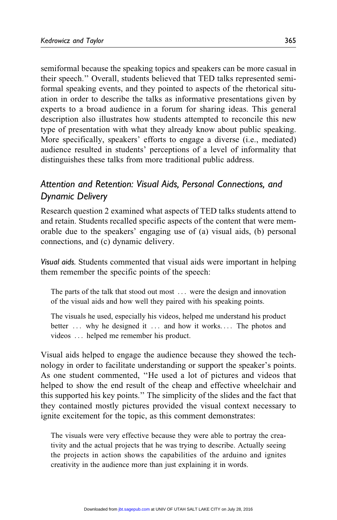semiformal because the speaking topics and speakers can be more casual in their speech.'' Overall, students believed that TED talks represented semiformal speaking events, and they pointed to aspects of the rhetorical situation in order to describe the talks as informative presentations given by experts to a broad audience in a forum for sharing ideas. This general description also illustrates how students attempted to reconcile this new type of presentation with what they already know about public speaking. More specifically, speakers' efforts to engage a diverse (i.e., mediated) audience resulted in students' perceptions of a level of informality that distinguishes these talks from more traditional public address.

# Attention and Retention: Visual Aids, Personal Connections, and Dynamic Delivery

Research question 2 examined what aspects of TED talks students attend to and retain. Students recalled specific aspects of the content that were memorable due to the speakers' engaging use of (a) visual aids, (b) personal connections, and (c) dynamic delivery.

Visual aids. Students commented that visual aids were important in helping them remember the specific points of the speech:

The parts of the talk that stood out most ... were the design and innovation of the visual aids and how well they paired with his speaking points.

The visuals he used, especially his videos, helped me understand his product better ... why he designed it ... and how it works. ... The photos and videos ... helped me remember his product.

Visual aids helped to engage the audience because they showed the technology in order to facilitate understanding or support the speaker's points. As one student commented, ''He used a lot of pictures and videos that helped to show the end result of the cheap and effective wheelchair and this supported his key points.'' The simplicity of the slides and the fact that they contained mostly pictures provided the visual context necessary to ignite excitement for the topic, as this comment demonstrates:

The visuals were very effective because they were able to portray the creativity and the actual projects that he was trying to describe. Actually seeing the projects in action shows the capabilities of the arduino and ignites creativity in the audience more than just explaining it in words.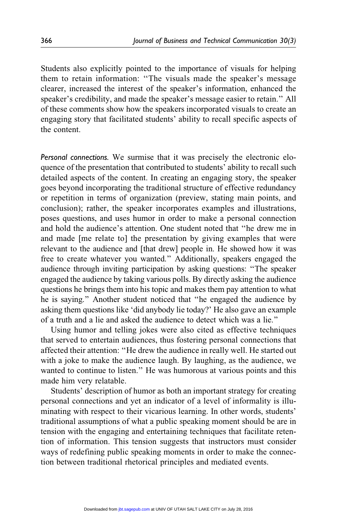Students also explicitly pointed to the importance of visuals for helping them to retain information: ''The visuals made the speaker's message clearer, increased the interest of the speaker's information, enhanced the speaker's credibility, and made the speaker's message easier to retain.'' All of these comments show how the speakers incorporated visuals to create an engaging story that facilitated students' ability to recall specific aspects of the content.

Personal connections. We surmise that it was precisely the electronic eloquence of the presentation that contributed to students' ability to recall such detailed aspects of the content. In creating an engaging story, the speaker goes beyond incorporating the traditional structure of effective redundancy or repetition in terms of organization (preview, stating main points, and conclusion); rather, the speaker incorporates examples and illustrations, poses questions, and uses humor in order to make a personal connection and hold the audience's attention. One student noted that ''he drew me in and made [me relate to] the presentation by giving examples that were relevant to the audience and [that drew] people in. He showed how it was free to create whatever you wanted.'' Additionally, speakers engaged the audience through inviting participation by asking questions: ''The speaker engaged the audience by taking various polls. By directly asking the audience questions he brings them into his topic and makes them pay attention to what he is saying.'' Another student noticed that ''he engaged the audience by asking them questions like 'did anybody lie today?' He also gave an example of a truth and a lie and asked the audience to detect which was a lie.''

Using humor and telling jokes were also cited as effective techniques that served to entertain audiences, thus fostering personal connections that affected their attention: ''He drew the audience in really well. He started out with a joke to make the audience laugh. By laughing, as the audience, we wanted to continue to listen.'' He was humorous at various points and this made him very relatable.

Students' description of humor as both an important strategy for creating personal connections and yet an indicator of a level of informality is illuminating with respect to their vicarious learning. In other words, students' traditional assumptions of what a public speaking moment should be are in tension with the engaging and entertaining techniques that facilitate retention of information. This tension suggests that instructors must consider ways of redefining public speaking moments in order to make the connection between traditional rhetorical principles and mediated events.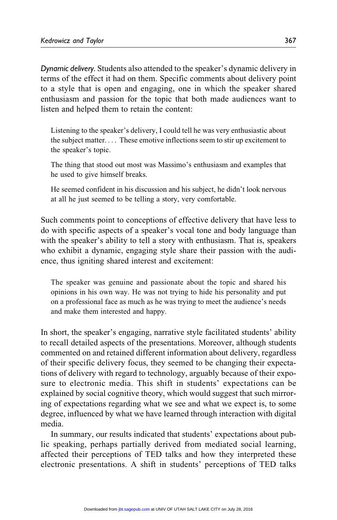Dynamic delivery. Students also attended to the speaker's dynamic delivery in terms of the effect it had on them. Specific comments about delivery point to a style that is open and engaging, one in which the speaker shared enthusiasm and passion for the topic that both made audiences want to listen and helped them to retain the content:

Listening to the speaker's delivery, I could tell he was very enthusiastic about the subject matter. ... These emotive inflections seem to stir up excitement to the speaker's topic.

The thing that stood out most was Massimo's enthusiasm and examples that he used to give himself breaks.

He seemed confident in his discussion and his subject, he didn't look nervous at all he just seemed to be telling a story, very comfortable.

Such comments point to conceptions of effective delivery that have less to do with specific aspects of a speaker's vocal tone and body language than with the speaker's ability to tell a story with enthusiasm. That is, speakers who exhibit a dynamic, engaging style share their passion with the audience, thus igniting shared interest and excitement:

The speaker was genuine and passionate about the topic and shared his opinions in his own way. He was not trying to hide his personality and put on a professional face as much as he was trying to meet the audience's needs and make them interested and happy.

In short, the speaker's engaging, narrative style facilitated students' ability to recall detailed aspects of the presentations. Moreover, although students commented on and retained different information about delivery, regardless of their specific delivery focus, they seemed to be changing their expectations of delivery with regard to technology, arguably because of their exposure to electronic media. This shift in students' expectations can be explained by social cognitive theory, which would suggest that such mirroring of expectations regarding what we see and what we expect is, to some degree, influenced by what we have learned through interaction with digital media.

In summary, our results indicated that students' expectations about public speaking, perhaps partially derived from mediated social learning, affected their perceptions of TED talks and how they interpreted these electronic presentations. A shift in students' perceptions of TED talks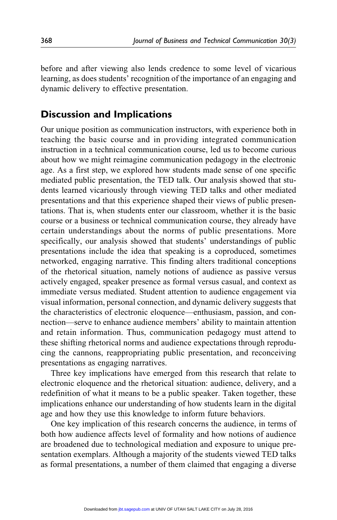before and after viewing also lends credence to some level of vicarious learning, as does students' recognition of the importance of an engaging and dynamic delivery to effective presentation.

### Discussion and Implications

Our unique position as communication instructors, with experience both in teaching the basic course and in providing integrated communication instruction in a technical communication course, led us to become curious about how we might reimagine communication pedagogy in the electronic age. As a first step, we explored how students made sense of one specific mediated public presentation, the TED talk. Our analysis showed that students learned vicariously through viewing TED talks and other mediated presentations and that this experience shaped their views of public presentations. That is, when students enter our classroom, whether it is the basic course or a business or technical communication course, they already have certain understandings about the norms of public presentations. More specifically, our analysis showed that students' understandings of public presentations include the idea that speaking is a coproduced, sometimes networked, engaging narrative. This finding alters traditional conceptions of the rhetorical situation, namely notions of audience as passive versus actively engaged, speaker presence as formal versus casual, and context as immediate versus mediated. Student attention to audience engagement via visual information, personal connection, and dynamic delivery suggests that the characteristics of electronic eloquence—enthusiasm, passion, and connection—serve to enhance audience members' ability to maintain attention and retain information. Thus, communication pedagogy must attend to these shifting rhetorical norms and audience expectations through reproducing the cannons, reappropriating public presentation, and reconceiving presentations as engaging narratives.

Three key implications have emerged from this research that relate to electronic eloquence and the rhetorical situation: audience, delivery, and a redefinition of what it means to be a public speaker. Taken together, these implications enhance our understanding of how students learn in the digital age and how they use this knowledge to inform future behaviors.

One key implication of this research concerns the audience, in terms of both how audience affects level of formality and how notions of audience are broadened due to technological mediation and exposure to unique presentation exemplars. Although a majority of the students viewed TED talks as formal presentations, a number of them claimed that engaging a diverse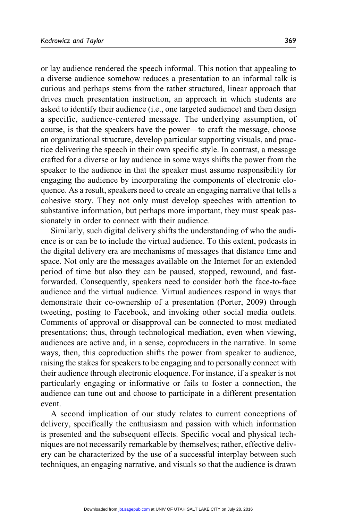or lay audience rendered the speech informal. This notion that appealing to a diverse audience somehow reduces a presentation to an informal talk is curious and perhaps stems from the rather structured, linear approach that drives much presentation instruction, an approach in which students are asked to identify their audience (i.e., one targeted audience) and then design a specific, audience-centered message. The underlying assumption, of course, is that the speakers have the power—to craft the message, choose an organizational structure, develop particular supporting visuals, and practice delivering the speech in their own specific style. In contrast, a message crafted for a diverse or lay audience in some ways shifts the power from the speaker to the audience in that the speaker must assume responsibility for engaging the audience by incorporating the components of electronic eloquence. As a result, speakers need to create an engaging narrative that tells a cohesive story. They not only must develop speeches with attention to substantive information, but perhaps more important, they must speak passionately in order to connect with their audience.

Similarly, such digital delivery shifts the understanding of who the audience is or can be to include the virtual audience. To this extent, podcasts in the digital delivery era are mechanisms of messages that distance time and space. Not only are the messages available on the Internet for an extended period of time but also they can be paused, stopped, rewound, and fastforwarded. Consequently, speakers need to consider both the face-to-face audience and the virtual audience. Virtual audiences respond in ways that demonstrate their co-ownership of a presentation (Porter, 2009) through tweeting, posting to Facebook, and invoking other social media outlets. Comments of approval or disapproval can be connected to most mediated presentations; thus, through technological mediation, even when viewing, audiences are active and, in a sense, coproducers in the narrative. In some ways, then, this coproduction shifts the power from speaker to audience, raising the stakes for speakers to be engaging and to personally connect with their audience through electronic eloquence. For instance, if a speaker is not particularly engaging or informative or fails to foster a connection, the audience can tune out and choose to participate in a different presentation event.

A second implication of our study relates to current conceptions of delivery, specifically the enthusiasm and passion with which information is presented and the subsequent effects. Specific vocal and physical techniques are not necessarily remarkable by themselves; rather, effective delivery can be characterized by the use of a successful interplay between such techniques, an engaging narrative, and visuals so that the audience is drawn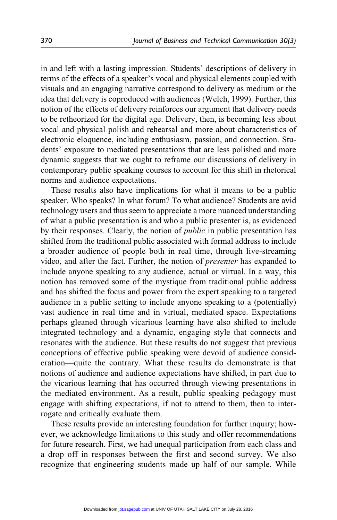in and left with a lasting impression. Students' descriptions of delivery in terms of the effects of a speaker's vocal and physical elements coupled with visuals and an engaging narrative correspond to delivery as medium or the idea that delivery is coproduced with audiences (Welch, 1999). Further, this notion of the effects of delivery reinforces our argument that delivery needs to be retheorized for the digital age. Delivery, then, is becoming less about vocal and physical polish and rehearsal and more about characteristics of electronic eloquence, including enthusiasm, passion, and connection. Students' exposure to mediated presentations that are less polished and more dynamic suggests that we ought to reframe our discussions of delivery in contemporary public speaking courses to account for this shift in rhetorical norms and audience expectations.

These results also have implications for what it means to be a public speaker. Who speaks? In what forum? To what audience? Students are avid technology users and thus seem to appreciate a more nuanced understanding of what a public presentation is and who a public presenter is, as evidenced by their responses. Clearly, the notion of public in public presentation has shifted from the traditional public associated with formal address to include a broader audience of people both in real time, through live-streaming video, and after the fact. Further, the notion of presenter has expanded to include anyone speaking to any audience, actual or virtual. In a way, this notion has removed some of the mystique from traditional public address and has shifted the focus and power from the expert speaking to a targeted audience in a public setting to include anyone speaking to a (potentially) vast audience in real time and in virtual, mediated space. Expectations perhaps gleaned through vicarious learning have also shifted to include integrated technology and a dynamic, engaging style that connects and resonates with the audience. But these results do not suggest that previous conceptions of effective public speaking were devoid of audience consideration—quite the contrary. What these results do demonstrate is that notions of audience and audience expectations have shifted, in part due to the vicarious learning that has occurred through viewing presentations in the mediated environment. As a result, public speaking pedagogy must engage with shifting expectations, if not to attend to them, then to interrogate and critically evaluate them.

These results provide an interesting foundation for further inquiry; however, we acknowledge limitations to this study and offer recommendations for future research. First, we had unequal participation from each class and a drop off in responses between the first and second survey. We also recognize that engineering students made up half of our sample. While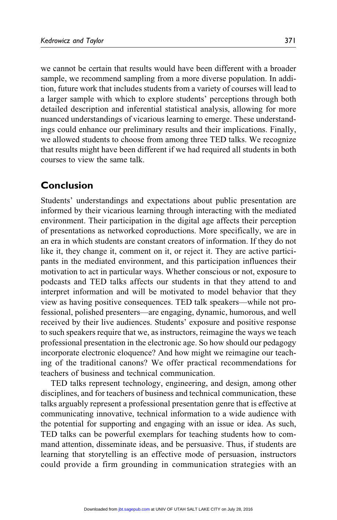we cannot be certain that results would have been different with a broader sample, we recommend sampling from a more diverse population. In addition, future work that includes students from a variety of courses will lead to a larger sample with which to explore students' perceptions through both detailed description and inferential statistical analysis, allowing for more nuanced understandings of vicarious learning to emerge. These understandings could enhance our preliminary results and their implications. Finally, we allowed students to choose from among three TED talks. We recognize that results might have been different if we had required all students in both courses to view the same talk.

# Conclusion

Students' understandings and expectations about public presentation are informed by their vicarious learning through interacting with the mediated environment. Their participation in the digital age affects their perception of presentations as networked coproductions. More specifically, we are in an era in which students are constant creators of information. If they do not like it, they change it, comment on it, or reject it. They are active participants in the mediated environment, and this participation influences their motivation to act in particular ways. Whether conscious or not, exposure to podcasts and TED talks affects our students in that they attend to and interpret information and will be motivated to model behavior that they view as having positive consequences. TED talk speakers—while not professional, polished presenters—are engaging, dynamic, humorous, and well received by their live audiences. Students' exposure and positive response to such speakers require that we, as instructors, reimagine the ways we teach professional presentation in the electronic age. So how should our pedagogy incorporate electronic eloquence? And how might we reimagine our teaching of the traditional canons? We offer practical recommendations for teachers of business and technical communication.

TED talks represent technology, engineering, and design, among other disciplines, and for teachers of business and technical communication, these talks arguably represent a professional presentation genre that is effective at communicating innovative, technical information to a wide audience with the potential for supporting and engaging with an issue or idea. As such, TED talks can be powerful exemplars for teaching students how to command attention, disseminate ideas, and be persuasive. Thus, if students are learning that storytelling is an effective mode of persuasion, instructors could provide a firm grounding in communication strategies with an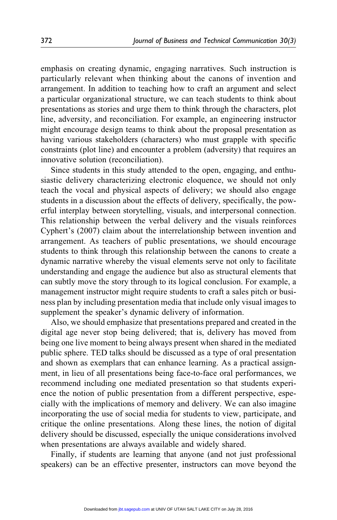emphasis on creating dynamic, engaging narratives. Such instruction is particularly relevant when thinking about the canons of invention and arrangement. In addition to teaching how to craft an argument and select a particular organizational structure, we can teach students to think about presentations as stories and urge them to think through the characters, plot line, adversity, and reconciliation. For example, an engineering instructor might encourage design teams to think about the proposal presentation as having various stakeholders (characters) who must grapple with specific constraints (plot line) and encounter a problem (adversity) that requires an innovative solution (reconciliation).

Since students in this study attended to the open, engaging, and enthusiastic delivery characterizing electronic eloquence, we should not only teach the vocal and physical aspects of delivery; we should also engage students in a discussion about the effects of delivery, specifically, the powerful interplay between storytelling, visuals, and interpersonal connection. This relationship between the verbal delivery and the visuals reinforces Cyphert's (2007) claim about the interrelationship between invention and arrangement. As teachers of public presentations, we should encourage students to think through this relationship between the canons to create a dynamic narrative whereby the visual elements serve not only to facilitate understanding and engage the audience but also as structural elements that can subtly move the story through to its logical conclusion. For example, a management instructor might require students to craft a sales pitch or business plan by including presentation media that include only visual images to supplement the speaker's dynamic delivery of information.

Also, we should emphasize that presentations prepared and created in the digital age never stop being delivered; that is, delivery has moved from being one live moment to being always present when shared in the mediated public sphere. TED talks should be discussed as a type of oral presentation and shown as exemplars that can enhance learning. As a practical assignment, in lieu of all presentations being face-to-face oral performances, we recommend including one mediated presentation so that students experience the notion of public presentation from a different perspective, especially with the implications of memory and delivery. We can also imagine incorporating the use of social media for students to view, participate, and critique the online presentations. Along these lines, the notion of digital delivery should be discussed, especially the unique considerations involved when presentations are always available and widely shared.

Finally, if students are learning that anyone (and not just professional speakers) can be an effective presenter, instructors can move beyond the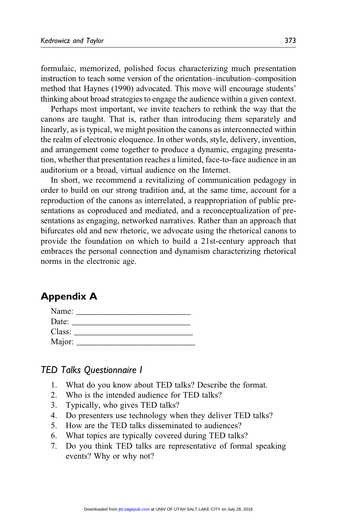formulaic, memorized, polished focus characterizing much presentation instruction to teach some version of the orientation–incubation–composition method that Haynes (1990) advocated. This move will encourage students' thinking about broad strategies to engage the audience within a given context.

Perhaps most important, we invite teachers to rethink the way that the canons are taught. That is, rather than introducing them separately and linearly, as is typical, we might position the canons as interconnected within the realm of electronic eloquence. In other words, style, delivery, invention, and arrangement come together to produce a dynamic, engaging presentation, whether that presentation reaches a limited, face-to-face audience in an auditorium or a broad, virtual audience on the Internet.

In short, we recommend a revitalizing of communication pedagogy in order to build on our strong tradition and, at the same time, account for a reproduction of the canons as interrelated, a reappropriation of public presentations as coproduced and mediated, and a reconceptualization of presentations as engaging, networked narratives. Rather than an approach that bifurcates old and new rhetoric, we advocate using the rhetorical canons to provide the foundation on which to build a 21st-century approach that embraces the personal connection and dynamism characterizing rhetorical norms in the electronic age.

# Appendix A

| Name:    |  |
|----------|--|
| Date:    |  |
| Class:   |  |
| Major: _ |  |
|          |  |

### TED Talks Questionnaire I

- 1. What do you know about TED talks? Describe the format.
- 2. Who is the intended audience for TED talks?
- 3. Typically, who gives TED talks?
- 4. Do presenters use technology when they deliver TED talks?
- 5. How are the TED talks disseminated to audiences?
- 6. What topics are typically covered during TED talks?
- 7. Do you think TED talks are representative of formal speaking events? Why or why not?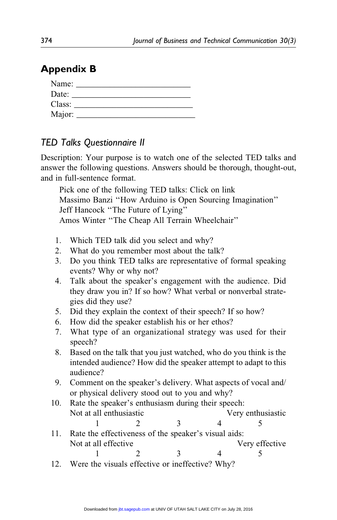# Appendix B

| Name:  |  |
|--------|--|
| Date:  |  |
| Class: |  |
| Major: |  |

# TED Talks Questionnaire II

Description: Your purpose is to watch one of the selected TED talks and answer the following questions. Answers should be thorough, thought-out, and in full-sentence format.

Pick one of the following TED talks: Click on link Massimo Banzi ''How Arduino is Open Sourcing Imagination'' Jeff Hancock ''The Future of Lying'' Amos Winter ''The Cheap All Terrain Wheelchair''

- 1. Which TED talk did you select and why?
- 2. What do you remember most about the talk?
- 3. Do you think TED talks are representative of formal speaking events? Why or why not?
- 4. Talk about the speaker's engagement with the audience. Did they draw you in? If so how? What verbal or nonverbal strategies did they use?
- 5. Did they explain the context of their speech? If so how?
- 6. How did the speaker establish his or her ethos?
- 7. What type of an organizational strategy was used for their speech?
- 8. Based on the talk that you just watched, who do you think is the intended audience? How did the speaker attempt to adapt to this audience?
- 9. Comment on the speaker's delivery. What aspects of vocal and/ or physical delivery stood out to you and why?
- 10. Rate the speaker's enthusiasm during their speech: Not at all enthusiastic Very enthusiastic 12345
- 11. Rate the effectiveness of the speaker's visual aids: Not at all effective Very effective 12345
- 12. Were the visuals effective or ineffective? Why?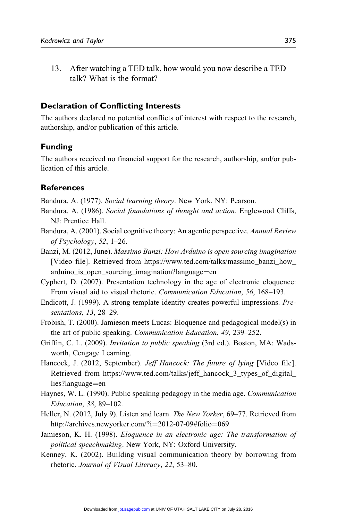13. After watching a TED talk, how would you now describe a TED talk? What is the format?

#### Declaration of Conflicting Interests

The authors declared no potential conflicts of interest with respect to the research, authorship, and/or publication of this article.

#### Funding

The authors received no financial support for the research, authorship, and/or publication of this article.

#### References

Bandura, A. (1977). Social learning theory. New York, NY: Pearson.

- Bandura, A. (1986). Social foundations of thought and action. Englewood Cliffs, NJ: Prentice Hall.
- Bandura, A. (2001). Social cognitive theory: An agentic perspective. Annual Review of Psychology, 52, 1–26.

Banzi, M. (2012, June). Massimo Banzi: How Arduino is open sourcing imagination [Video file]. Retrieved from [https://www.ted.com/talks/massimo\\_banzi\\_how\\_](https://www.ted.com/talks/massimo_banzi_how_arduino_is_open_sourcing_imagination?language=en) arduino is op[en](https://www.ted.com/talks/massimo_banzi_how_arduino_is_open_sourcing_imagination?language=en) sourcing imagination?language $=$ en

- Cyphert, D. (2007). Presentation technology in the age of electronic eloquence: From visual aid to visual rhetoric. Communication Education, 56, 168-193.
- Endicott, J. (1999). A strong template identity creates powerful impressions. Presentations, 13, 28–29.
- Frobish, T. (2000). Jamieson meets Lucas: Eloquence and pedagogical model(s) in the art of public speaking. Communication Education, 49, 239–252.
- Griffin, C. L. (2009). Invitation to public speaking (3rd ed.). Boston, MA: Wadsworth, Cengage Learning.
- Hancock, J. (2012, September). *Jeff Hancock: The future of lying* [Video file]. Retrieved from [https://www.ted.com/talks/jeff\\_hancock\\_3\\_types\\_of\\_digital\\_](https://www.ted.com/talks/jeff_hancock_3_types_of_digital_lies?language=en) [lies?language](https://www.ted.com/talks/jeff_hancock_3_types_of_digital_lies?language=en)=[en](https://www.ted.com/talks/jeff_hancock_3_types_of_digital_lies?language=en)
- Haynes, W. L. (1990). Public speaking pedagogy in the media age. Communication Education, 38, 89–102.
- Heller, N. (2012, July 9). Listen and learn. The New Yorker, 69–77. Retrieved from [http://archives.newyorker.com/?i](http://archives.newyorker.com/?i=2012-07-09#folio=069)=[2012-07-09#folio](http://archives.newyorker.com/?i=2012-07-09#folio=069)=[069](http://archives.newyorker.com/?i=2012-07-09#folio=069)
- Jamieson, K. H. (1998). Eloquence in an electronic age: The transformation of political speechmaking. New York, NY: Oxford University.
- Kenney, K. (2002). Building visual communication theory by borrowing from rhetoric. Journal of Visual Literacy, 22, 53–80.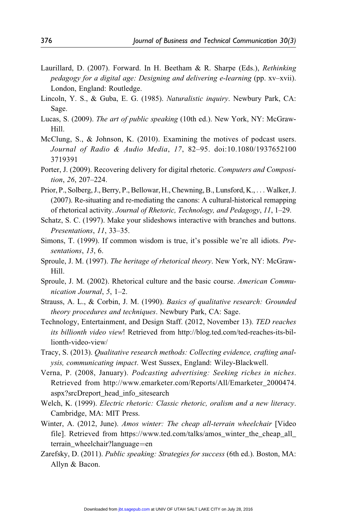- Laurillard, D. (2007). Forward. In H. Beetham & R. Sharpe (Eds.), Rethinking pedagogy for a digital age: Designing and delivering e-learning (pp. xv–xvii). London, England: Routledge.
- Lincoln, Y. S., & Guba, E. G. (1985). Naturalistic inquiry. Newbury Park, CA: Sage.
- Lucas, S. (2009). The art of public speaking (10th ed.). New York, NY: McGraw-Hill.
- McClung, S., & Johnson, K. (2010). Examining the motives of podcast users. Journal of Radio & Audio Media, 17, 82–95. doi:10.1080/1937652100 3719391
- Porter, J. (2009). Recovering delivery for digital rhetoric. Computers and Composition, 26, 207–224.
- Prior, P., Solberg, J., Berry, P., Bellowar, H., Chewning, B., Lunsford, K., ... Walker, J. (2007). Re-situating and re-mediating the canons: A cultural-historical remapping of rhetorical activity. Journal of Rhetoric, Technology, and Pedagogy, 11, 1–29.
- Schatz, S. C. (1997). Make your slideshows interactive with branches and buttons. Presentations, 11, 33–35.
- Simons, T. (1999). If common wisdom is true, it's possible we're all idiots. Presentations, 13, 6.
- Sproule, J. M. (1997). The heritage of rhetorical theory. New York, NY: McGraw-Hill.
- Sproule, J. M. (2002). Rhetorical culture and the basic course. American Communication Journal, 5, 1–2.
- Strauss, A. L., & Corbin, J. M. (1990). Basics of qualitative research: Grounded theory procedures and techniques. Newbury Park, CA: Sage.
- Technology, Entertainment, and Design Staff. (2012, November 13). TED reaches its billionth video view! Retrieved from [http://blog.ted.com/ted-reaches-its-bil](http://blog.ted.com/ted-reaches-its-billionth-video-view/)[lionth-video-view/](http://blog.ted.com/ted-reaches-its-billionth-video-view/)
- Tracy, S. (2013). Qualitative research methods: Collecting evidence, crafting analysis, communicating impact. West Sussex, England: Wiley-Blackwell.
- Verna, P. (2008, January). Podcasting advertising: Seeking riches in niches. Retrieved from [http://www.emarketer.com/Reports/All/Emarketer\\_2000474.](http://www.emarketer.com/Reports/All/Emarketer_2000474.aspx?srcDreport_head_info_sitesearch) [aspx?srcDreport\\_head\\_info\\_sitesearch](http://www.emarketer.com/Reports/All/Emarketer_2000474.aspx?srcDreport_head_info_sitesearch)
- Welch, K. (1999). Electric rhetoric: Classic rhetoric, oralism and a new literacy. Cambridge, MA: MIT Press.
- Winter, A. (2012, June). Amos winter: The cheap all-terrain wheelchair [Video file]. Retrieved from [https://www.ted.com/talks/amos\\_winter\\_the\\_cheap\\_all\\_](https://www.ted.com/talks/amos_winter_the_cheap_all_terrain_wheelchair?language=en) [terrain\\_wheelchair?language](https://www.ted.com/talks/amos_winter_the_cheap_all_terrain_wheelchair?language=en)=[en](https://www.ted.com/talks/amos_winter_the_cheap_all_terrain_wheelchair?language=en)
- Zarefsky, D. (2011). Public speaking: Strategies for success (6th ed.). Boston, MA: Allyn & Bacon.